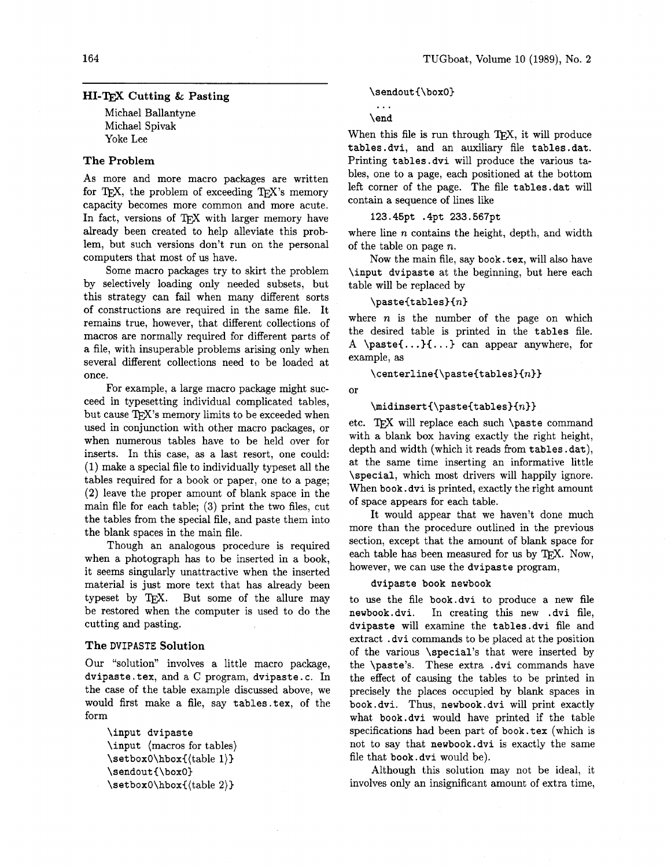# **H1-m Cutting** & **Pasting**

Michael Ballantyne Michael Spivak Yoke Lee

# **The Problem**

As more and more macro packages are written for TEX, the problem of exceeding TEX's memory capacity becomes more common and more acute. In fact, versions of TFX with larger memory have already been created to help alleviate this prob lem, but such versions don't run on the personal computers that most of us have.

Some macro packages try to skirt the problem by selectively loading only needed subsets, but this strategy can fail when many different sorts of constructions are required in the same file. It remains true, however, that different collections of macros are normally required for different parts of a file, with insuperable problems arising only when several different collections need to be loaded at once.

For example, a large macro package might succeed in typesetting individual complicated tables, but cause TFX's memory limits to be exceeded when used in conjunction with other macro packages, or when numerous tables have to be held over for inserts. In this case, as a last resort, one could: (1) make a special file to individually typeset all the tables required for a book or paper, one to a page; (2) leave the proper amount of blank space in the main file for each table; **(3)** print the two files, cut the tables from the special file, and paste them into the blank spaces in the main file.

Though an analogous procedure is required when a photograph has to be inserted in a book, it seems singularly unattractive when the inserted material is just more text that has already been typeset by TEX. But some of the allure may be restored when the computer is used to do the cutting and pasting.

## **The DVIPASTE Solution**

Our "solution" involves a little macro package, dvipaste. tex, and a C program, dvipaste. c. In the case of the table example discussed above, we would first make a file, say tables. tex, of the form

\input dvipaste \input (macros for tables) \setbox0\hbox{(table 1)} \sendout(\boxO) \setboxO\hbox((table **2))** 

#### \sendout{\box0}

 $\ddotsc$ \end

When this file is run through  $TFX$ , it will produce tables .dvi, and an auxiliary file tables .dat. Printing tables.dvi will produce the various tables, one to a page, each positioned at the bottom left corner of the page. The file tables .dat will contain a sequence of lines like

## 123.45pt .4pt 233.567pt

where line  $n$  contains the height, depth, and width of the table on page  $n$ .

Now the main file, say book. tex, will also have \input dvipaste at the beginning, but here each table will be replaced by

## $\n\lambda\$

where  $n$  is the number of the page on which the desired table is printed in the tables file. **<sup>A</sup>**\paste(. . **.I(.** . . ) can appear anywhere, for example, as

## $\verb|\centerline{\\pastetables]{n}}$

or

 $\mathcal{\Omega}_{n}$ <br>etc. TpX will replace each such  $\text{constant}$ with a blank box having exactly the right height, depth and width (which it reads from tables. dat), at the same time inserting an informative little \special, which most drivers will happily ignore. When book. dvi is printed, exactly the right amount of space appears for each table.

It would appear that we haven't done much more than the procedure outlined in the previous section, except that the amount of blank space for each table has been measured for us by TEX. Now, however, we can use the dvipaste program,

#### dvipaste book newbook

to use the file book.dvi to produce a new file newbook.dvi. In creating this new .dvi file, dvipaste will examine the tables .dvi file and extract . dvi commands to be placed at the position of the various \special's that were inserted by the \paste's. These extra . dvi commands have the effect of causing the tables to be printed in precisely the places occupied by blank spaces in book. dvi. Thus, newbook. dvi will print exactly what book.dvi would have printed if the table specifications had been part of book.tex (which is not to say that newbook.dvi is exactly the same file that book. dvi would be).

Although this solution may not be ideal, it involves only an insignificant amount of extra time,